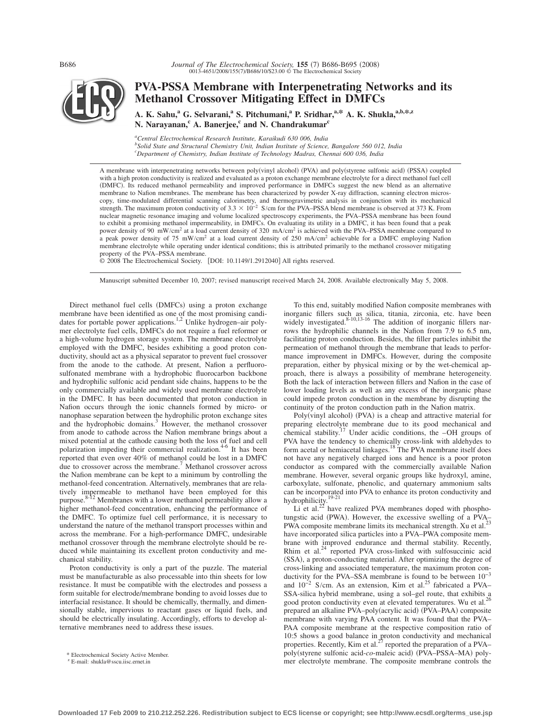

# **PVA-PSSA Membrane with Interpenetrating Networks and its Methanol Crossover Mitigating Effect in DMFCs**

A. K. Sahu,<sup>a</sup> G. Selvarani,<sup>a</sup> S. Pitchumani,<sup>a</sup> P. Sridhar,<sup>a,\*</sup> A. K. Shukla,<sup>a,b,\*,z</sup> **N. Narayanan, <sup>c</sup> A. Banerjee, <sup>c</sup> and N. Chandrakumar<sup>c</sup>** 

*a Central Electrochemical Research Institute, Karaikudi 630 006, India b Solid State and Structural Chemistry Unit, Indian Institute of Science, Bangalore 560 012, India c Department of Chemistry, Indian Institute of Technology Madras, Chennai 600 036, India*

A membrane with interpenetrating networks between poly(vinyl alcohol) (PVA) and poly(styrene sulfonic acid) (PSSA) coupled with a high proton conductivity is realized and evaluated as a proton exchange membrane electrolyte for a direct methanol fuel cell (DMFC). Its reduced methanol permeability and improved performance in DMFCs suggest the new blend as an alternative membrane to Nafion membranes. The membrane has been characterized by powder X-ray diffraction, scanning electron microscopy, time-modulated differential scanning calorimetry, and thermogravimetric analysis in conjunction with its mechanical strength. The maximum proton conductivity of  $3.3 \times 10^{-2}$  S/cm for the PVA–PSSA blend membrane is observed at 373 K. From nuclear magnetic resonance imaging and volume localized spectroscopy experiments, the PVA–PSSA membrane has been found to exhibit a promising methanol impermeability, in DMFCs. On evaluating its utility in a DMFC, it has been found that a peak power density of 90 mW/cm2 at a load current density of 320 mA/cm2 is achieved with the PVA–PSSA membrane compared to a peak power density of 75 mW/cm2 at a load current density of 250 mA/cm2 achievable for a DMFC employing Nafion membrane electrolyte while operating under identical conditions; this is attributed primarily to the methanol crossover mitigating property of the PVA–PSSA membrane.

© 2008 The Electrochemical Society. [DOI: 10.1149/1.2912040] All rights reserved.

Manuscript submitted December 10, 2007; revised manuscript received March 24, 2008. Available electronically May 5, 2008.

Direct methanol fuel cells (DMFCs) using a proton exchange membrane have been identified as one of the most promising candi-<br>dates for portable power applications.<sup>1,2</sup> Unlike hydrogen–air polymer electrolyte fuel cells, DMFCs do not require a fuel reformer or a high-volume hydrogen storage system. The membrane electrolyte employed with the DMFC, besides exhibiting a good proton conductivity, should act as a physical separator to prevent fuel crossover from the anode to the cathode. At present, Nafion a perfluorosulfonated membrane with a hydrophobic fluorocarbon backbone and hydrophilic sulfonic acid pendant side chains, happens to be the only commercially available and widely used membrane electrolyte in the DMFC. It has been documented that proton conduction in Nafion occurs through the ionic channels formed by micro- or nanophase separation between the hydrophilic proton exchange sites and the hydrophobic domains.<sup>3</sup> However, the methanol crossover from anode to cathode across the Nafion membrane brings about a mixed potential at the cathode causing both the loss of fuel and cell polarization impeding their commercial realization. $4-6$  It has been reported that even over 40*%* of methanol could be lost in a DMFC due to crossover across the membrane.<sup>7</sup> Methanol crossover across the Nafion membrane can be kept to a minimum by controlling the methanol-feed concentration. Alternatively, membranes that are relatively impermeable to methanol have been employed for this purpose. $8^{-12}$  Membranes with a lower methanol permeability allow a higher methanol-feed concentration, enhancing the performance of the DMFC. To optimize fuel cell performance, it is necessary to understand the nature of the methanol transport processes within and across the membrane. For a high-performance DMFC, undesirable methanol crossover through the membrane electrolyte should be reduced while maintaining its excellent proton conductivity and mechanical stability.

Proton conductivity is only a part of the puzzle. The material must be manufacturable as also processable into thin sheets for low resistance. It must be compatible with the electrodes and possess a form suitable for electrode/membrane bonding to avoid losses due to interfacial resistance. It should be chemically, thermally, and dimensionally stable, impervious to reactant gases or liquid fuels, and should be electrically insulating. Accordingly, efforts to develop alternative membranes need to address these issues.

To this end, suitably modified Nafion composite membranes with inorganic fillers such as silica, titania, zirconia, etc. have been widely investigated.<sup>8-10,13-16</sup> The addition of inorganic fillers narrows the hydrophilic channels in the Nafion from 7.9 to 6.5 nm, facilitating proton conduction. Besides, the filler particles inhibit the permeation of methanol through the membrane that leads to performance improvement in DMFCs. However, during the composite preparation, either by physical mixing or by the wet-chemical approach, there is always a possibility of membrane heterogeneity. Both the lack of interaction between fillers and Nafion in the case of lower loading levels as well as any excess of the inorganic phase could impede proton conduction in the membrane by disrupting the continuity of the proton conduction path in the Nafion matrix.

Poly(vinyl alcohol) (PVA) is a cheap and attractive material for preparing electrolyte membrane due to its good mechanical and chemical stability.<sup>17</sup> Under acidic conditions, the  $-OH$  groups of PVA have the tendency to chemically cross-link with aldehydes to form acetal or hemiacetal linkages.<sup>18</sup> The PVA membrane itself does not have any negatively charged ions and hence is a poor proton conductor as compared with the commercially available Nafion membrane. However, several organic groups like hydroxyl, amine, carboxylate, sulfonate, phenolic, and quaternary ammonium salts can be incorporated into PVA to enhance its proton conductivity and hydrophilicity.<sup>19-21</sup>

Li et al. $^{22}$  have realized PVA membranes doped with phosphotungstic acid (PWA). However, the excessive swelling of a PVA–<br>PWA composite membrane limits its mechanical strength. Xu et al.<sup>23</sup> have incorporated silica particles into a PVA–PWA composite membrane with improved endurance and thermal stability. Recently, Rhim et al.<sup>24</sup> reported PVA cross-linked with sulfosuccinic acid (SSA), a proton-conducting material. After optimizing the degree of cross-linking and associated temperature, the maximum proton conductivity for the PVA–SSA membrane is found to be between 10−3 and  $10^{-2}$  S/cm. As an extension, Kim et al.<sup>25</sup> fabricated a PVA– SSA-silica hybrid membrane, using a sol–gel route, that exhibits a good proton conductivity even at elevated temperatures. Wu et al.<sup>26</sup> prepared an alkaline PVA-poly(acrylic acid) (PVA-PAA) composite membrane with varying PAA content. It was found that the PVA– PAA composite membrane at the respective composition ratio of 10:5 shows a good balance in proton conductivity and mechanical properties. Recently, Kim et al.<sup>27</sup> reported the preparation of a PVA– poly(styrene sulfonic acid-co-maleic acid) (PVA–PSSA–MA) poly-Electrochemical Society Active Member.<br>Mer electrolyte membrane. The composite membrane controls the \* E-mail: shukla@sscu.iisc.ernet.in

 $Z$  E-mail: shukla@sscu.iisc.ernet.in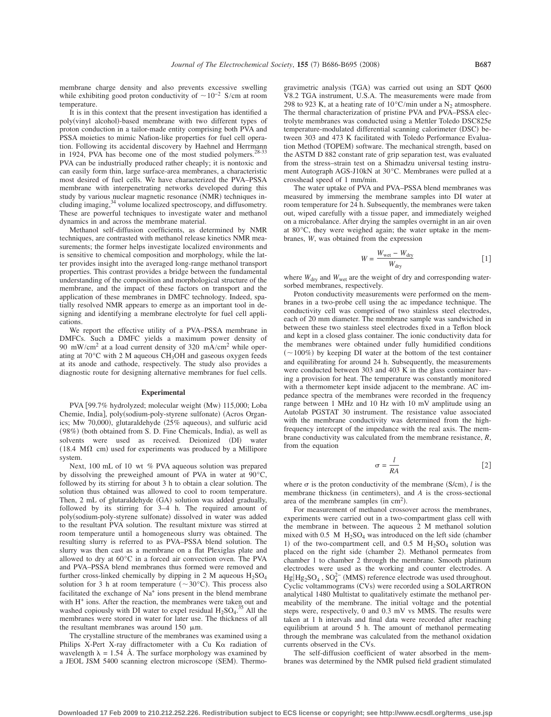membrane charge density and also prevents excessive swelling while exhibiting good proton conductivity of  $\sim 10^{-2}$  S/cm at room temperature.

It is in this context that the present investigation has identified a poly(vinyl alcohol)-based membrane with two different types of proton conduction in a tailor-made entity comprising both PVA and PSSA moieties to mimic Nafion-like properties for fuel cell operation. Following its accidental discovery by Haehnel and Herrmann in 1924, PVA has become one of the most studied polymers. $28-33$ PVA can be industrially produced rather cheaply; it is nontoxic and can easily form thin, large surface-area membranes, a characteristic most desired of fuel cells. We have characterized the PVA–PSSA membrane with interpenetrating networks developed during this study by various nuclear magnetic resonance (NMR) techniques in-<br>cluding imaging,<sup>34</sup> volume localized spectroscopy, and diffusometry. These are powerful techniques to investigate water and methanol dynamics in and across the membrane material.

Methanol self-diffusion coefficients, as determined by NMR techniques, are contrasted with methanol release kinetics NMR measurements; the former helps investigate localized environments and is sensitive to chemical composition and morphology, while the latter provides insight into the averaged long-range methanol transport properties. This contrast provides a bridge between the fundamental understanding of the composition and morphological structure of the membrane, and the impact of these factors on transport and the application of these membranes in DMFC technology. Indeed, spatially resolved NMR appears to emerge as an important tool in designing and identifying a membrane electrolyte for fuel cell applications.

We report the effective utility of a PVA–PSSA membrane in DMFCs. Such a DMFC yields a maximum power density of 90 mW/cm<sup>2</sup> at a load current density of 320 mA/cm<sup>2</sup> while operating at 70°C with 2 M aqueous CH3OH and gaseous oxygen feeds at its anode and cathode, respectively. The study also provides a diagnostic route for designing alternative membranes for fuel cells.

### **Experimental**

PVA [99.7% hydrolyzed; molecular weight (Mw) 115,000; Loba Chemie, India], poly(sodium-poly-styrene sulfonate) (Acros Organics; Mw 70,000), glutaraldehyde (25% aqueous), and sulfuric acid (98%) (both obtained from S. D. Fine Chemicals, India), as well as solvents were used as received. Deionized (DI) water  $(18.4 \text{ M}\Omega \text{ cm})$  used for experiments was produced by a Millipore system.

Next, 100 mL of 10 wt *%* PVA aqueous solution was prepared by dissolving the preweighed amount of PVA in water at 90°C, followed by its stirring for about 3 h to obtain a clear solution. The solution thus obtained was allowed to cool to room temperature. Then, 2 mL of glutaraldehyde (GA) solution was added gradually, followed by its stirring for 3–4 h. The required amount of poly(sodium-poly-styrene sulfonate) dissolved in water was added to the resultant PVA solution. The resultant mixture was stirred at room temperature until a homogeneous slurry was obtained. The resulting slurry is referred to as PVA–PSSA blend solution. The slurry was then cast as a membrane on a flat Plexiglas plate and allowed to dry at 60°C in a forced air convection oven. The PVA and PVA–PSSA blend membranes thus formed were removed and further cross-linked chemically by dipping in 2 M aqueous  $H_2SO_4$ solution for 3 h at room temperature ( $\sim$ 30°C). This process also facilitated the exchange of Na<sup>+</sup> ions present in the blend membrane with H<sup>+</sup> ions. After the reaction, the membranes were taken out and washed copiously with DI water to expel residual  $H_2SO_4$ .<sup>35</sup> All the membranes were stored in water for later use. The thickness of all the resultant membranes was around 150  $\mu$ m.

The crystalline structure of the membranes was examined using a Philips X-Pert X-ray diffractometer with a Cu K $\alpha$  radiation of wavelength  $\lambda = 1.54$  Å. The surface morphology was examined by a JEOL JSM 5400 scanning electron microscope (SEM). Thermo-

gravimetric analysis (TGA) was carried out using an SDT Q600 V8.2 TGA instrument, U.S.A. The measurements were made from 298 to 923 K, at a heating rate of  $10^{\circ}$ C/min under a N<sub>2</sub> atmosphere. The thermal characterization of pristine PVA and PVA–PSSA electrolyte membranes was conducted using a Mettler Toledo DSC825e temperature-modulated differential scanning calorimeter (DSC) between 303 and 473 K facilitated with Toledo Performance Evaluation Method (TOPEM) software. The mechanical strength, based on the ASTM D 882 constant rate of grip separation test, was evaluated from the stress–strain test on a Shimadzu universal testing instrument Autograph AGS-J10kN at 30°C. Membranes were pulled at a crosshead speed of 1 mm/min.

The water uptake of PVA and PVA–PSSA blend membranes was measured by immersing the membrane samples into DI water at room temperature for 24 h. Subsequently, the membranes were taken out, wiped carefully with a tissue paper, and immediately weighed on a microbalance. After drying the samples overnight in an air oven at 80°C, they were weighed again; the water uptake in the membranes, *W*, was obtained from the expression

$$
W = \frac{W_{\text{wet}} - W_{\text{dry}}}{W_{\text{dry}}}
$$
 [1]

where  $W_{\text{dry}}$  and  $W_{\text{wet}}$  are the weight of dry and corresponding watersorbed membranes, respectively.

Proton conductivity measurements were performed on the membranes in a two-probe cell using the ac impedance technique. The conductivity cell was comprised of two stainless steel electrodes, each of 20 mm diameter. The membrane sample was sandwiched in between these two stainless steel electrodes fixed in a Teflon block and kept in a closed glass container. The ionic conductivity data for the membranes were obtained under fully humidified conditions  $(-100\%)$  by keeping DI water at the bottom of the test container and equilibrating for around 24 h. Subsequently, the measurements were conducted between 303 and 403 K in the glass container having a provision for heat. The temperature was constantly monitored with a thermometer kept inside adjacent to the membrane. AC impedance spectra of the membranes were recorded in the frequency range between 1 MHz and 10 Hz with 10 mV amplitude using an Autolab PGSTAT 30 instrument. The resistance value associated with the membrane conductivity was determined from the highfrequency intercept of the impedance with the real axis. The membrane conductivity was calculated from the membrane resistance, *R*, from the equation

$$
\sigma = \frac{l}{RA} \tag{2}
$$

where  $\sigma$  is the proton conductivity of the membrane (S/cm), *l* is the membrane thickness (in centimeters), and *A* is the cross-sectional area of the membrane samples (in  $\text{cm}^2$ ).

For measurement of methanol crossover across the membranes, experiments were carried out in a two-compartment glass cell with the membrane in between. The aqueous 2 M methanol solution mixed with  $0.5$  M  $H_2SO_4$  was introduced on the left side (chamber 1) of the two-compartment cell, and  $0.5$  M  $H<sub>2</sub>SO<sub>4</sub>$  solution was placed on the right side (chamber 2). Methanol permeates from chamber 1 to chamber 2 through the membrane. Smooth platinum electrodes were used as the working and counter electrodes. A  $Hg|Hg_2SO_4$ ,  $SO_4^{2-}$  (MMS) reference electrode was used throughout. Cyclic voltammograms (CVs) were recorded using a SOLARTRON analytical 1480 Multistat to qualitatively estimate the methanol permeability of the membrane. The initial voltage and the potential steps were, respectively, 0 and 0.3 mV vs MMS. The results were taken at 1 h intervals and final data were recorded after reaching equilibrium at around 5 h. The amount of methanol permeating through the membrane was calculated from the methanol oxidation currents observed in the CVs.

The self-diffusion coefficient of water absorbed in the membranes was determined by the NMR pulsed field gradient stimulated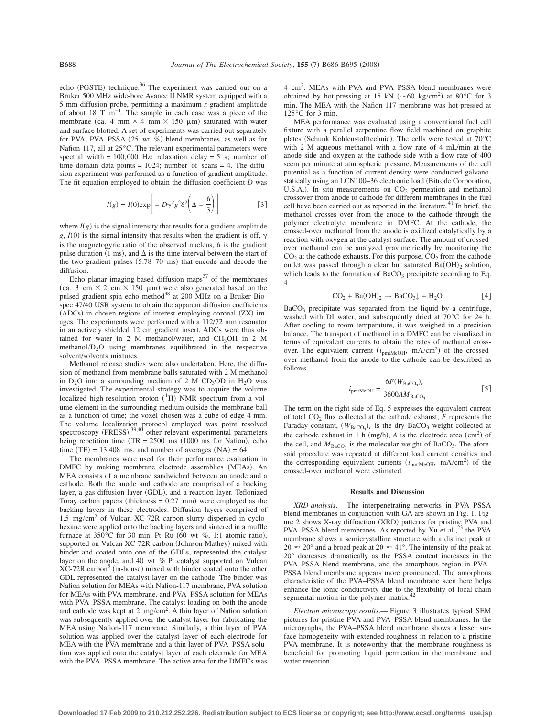echo (PGSTE) technique.<sup>36</sup> The experiment was carried out on a Bruker 500 MHz wide-bore Avance II NMR system equipped with a 5 mm diffusion probe, permitting a maximum *z*-gradient amplitude of about 18 T m−1. The sample in each case was a piece of the membrane (ca. 4 mm  $\times$  4 mm  $\times$  150  $\mu$ m) saturated with water and surface blotted. A set of experiments was carried out separately for PVA, PVA–PSSA (25 wt %) blend membranes, as well as for Nafion-117, all at 25°C. The relevant experimental parameters were spectral width =  $100,000$  Hz; relaxation delay = 5 s; number of time domain data points =  $1024$ ; number of scans = 4. The diffusion experiment was performed as a function of gradient amplitude. The fit equation employed to obtain the diffusion coefficient *D* was

$$
I(g) = I(0) \exp\left[-D\gamma^2 g^2 \delta^2 \left(\Delta - \frac{\delta}{3}\right)\right]
$$
 [3]

where  $I(g)$  is the signal intensity that results for a gradient amplitude  $g, I(0)$  is the signal intensity that results when the gradient is off,  $\gamma$ is the magnetogyric ratio of the observed nucleus,  $\delta$  is the gradient pulse duration (1 ms), and  $\Delta$  is the time interval between the start of the two gradient pulses (5.78–70 ms) that encode and decode the diffusion.

Echo planar imaging-based diffusion maps $37$  of the membranes (ca. 3 cm  $\times$  2 cm  $\times$  150  $\mu$ m) were also generated based on the pulsed gradient spin echo method<sup>38</sup> at 200 MHz on a Bruker Biospec 47/40 USR system to obtain the apparent diffusion coefficients (ADCs) in chosen regions of interest employing coronal (ZX) images. The experiments were performed with a 112/72 mm resonator in an actively shielded 12 cm gradient insert. ADCs were thus obtained for water in 2 M methanol/water, and  $CH<sub>3</sub>OH$  in 2 M methanol/ $D_2O$  using membranes equilibrated in the respective solvent/solvents mixtures.

Methanol release studies were also undertaken. Here, the diffusion of methanol from membrane balls saturated with 2 M methanol in  $D_2O$  into a surrounding medium of 2 M CD<sub>3</sub>OD in  $H_2O$  was investigated. The experimental strategy was to acquire the volume localized high-resolution proton  $({}^{1}H)$  NMR spectrum from a volume element in the surrounding medium outside the membrane ball as a function of time; the voxel chosen was a cube of edge 4 mm. The volume localization protocol employed was point resolved spectroscopy (PRESS), $39,40$  other relevant experimental parameters being repetition time  $(TR = 2500 \text{ ms } (1000 \text{ ms for Nafion})$ , echo time  $(TE) = 13.408$  ms, and number of averages  $(NA) = 64$ .

The membranes were used for their performance evaluation in DMFC by making membrane electrode assemblies (MEAs). An MEA consists of a membrane sandwiched between an anode and a cathode. Both the anode and cathode are comprised of a backing layer, a gas-diffusion layer (GDL), and a reaction layer. Teflonized Toray carbon papers (thickness  $= 0.27$  mm) were employed as the backing layers in these electrodes. Diffusion layers comprised of 1.5 mg/cm<sup>2</sup> of Vulcan XC-72R carbon slurry dispersed in cyclohexane were applied onto the backing layers and sintered in a muffle furnace at 350°C for 30 min. Pt–Ru (60 wt %, 1:1 atomic ratio), supported on Vulcan XC-72R carbon (Johnson Mathey) mixed with binder and coated onto one of the GDLs, represented the catalyst layer on the anode, and 40 wt *%* Pt catalyst supported on Vulcan  $\overline{XC}$ -72R carbon<sup>5</sup> (in-house) mixed with binder coated onto the other GDL represented the catalyst layer on the cathode. The binder was Nafion solution for MEAs with Nafion-117 membrane, PVA solution for MEAs with PVA membrane, and PVA–PSSA solution for MEAs with PVA–PSSA membrane. The catalyst loading on both the anode and cathode was kept at  $2 \text{ mg/cm}^2$ . A thin layer of Nafion solution was subsequently applied over the catalyst layer for fabricating the MEA using Nafion-117 membrane. Similarly, a thin layer of PVA solution was applied over the catalyst layer of each electrode for MEA with the PVA membrane and a thin layer of PVA–PSSA solution was applied onto the catalyst layer of each electrode for MEA with the PVA–PSSA membrane. The active area for the DMFCs was

4 cm2. MEAs with PVA and PVA–PSSA blend membranes were obtained by hot-pressing at 15 kN ( $\sim 60$  kg/cm<sup>2</sup>) at 80°C for 3 min. The MEA with the Nafion-117 membrane was hot-pressed at 125°C for 3 min.

MEA performance was evaluated using a conventional fuel cell fixture with a parallel serpentine flow field machined on graphite plates (Schunk Kohlenstofftechnic). The cells were tested at 70°C with 2 M aqueous methanol with a flow rate of 4 mL/min at the anode side and oxygen at the cathode side with a flow rate of 400 sccm per minute at atmospheric pressure. Measurements of the cell potential as a function of current density were conducted galvanostatically using an LCN100–36 electronic load (Bitrode Corporation, U.S.A.). In situ measurements on  $CO<sub>2</sub>$  permeation and methanol crossover from anode to cathode for different membranes in the fuel cell have been carried out as reported in the literature. $41$  In brief, the methanol crosses over from the anode to the cathode through the polymer electrolyte membrane in DMFC. At the cathode, the crossed-over methanol from the anode is oxidized catalytically by a reaction with oxygen at the catalyst surface. The amount of crossedover methanol can be analyzed gravimetrically by monitoring the  $CO<sub>2</sub>$  at the cathode exhausts. For this purpose,  $CO<sub>2</sub>$  from the cathode outlet was passed through a clear but saturated  $Ba(OH)_2$  solution, which leads to the formation of  $BaCO<sub>3</sub>$  precipitate according to Eq. 4

$$
CO2 + Ba(OH)2 \rightarrow BaCO3 \downarrow + H2O
$$
 [4]

 $BaCO<sub>3</sub>$  precipitate was separated from the liquid by a centrifuge, washed with DI water, and subsequently dried at 70°C for 24 h. After cooling to room temperature, it was weighed in a precision balance. The transport of methanol in a DMFC can be visualized in terms of equivalent currents to obtain the rates of methanol crossover. The equivalent current  $(i_{pmMeOH}, mA/cm^2)$  of the crossedover methanol from the anode to the cathode can be described as follows

$$
i_{\text{pmtMeOH}} = \frac{6F(W_{\text{BaCO}_3})_c}{3600A M_{\text{BaCO}_3}} \tag{5}
$$

The term on the right side of Eq. 5 expresses the equivalent current of total  $CO<sub>2</sub>$  flux collected at the cathode exhaust,  $F$  represents the Faraday constant,  $(W_{BaCO_3})_c$  is the dry BaCO<sub>3</sub> weight collected at the cathode exhaust in 1 h (mg/h), A is the electrode area  $\text{(cm}^2\text{)}$  of the cell, and  $M_{BaCO_3}$  is the molecular weight of BaCO<sub>3</sub>. The aforesaid procedure was repeated at different load current densities and the corresponding equivalent currents  $(i_{pmMeOH}, mA/cm^2)$  of the crossed-over methanol were estimated.

### **Results and Discussion**

*XRD analysis*.— The interpenetrating networks in PVA–PSSA blend membranes in conjunction with GA are shown in Fig. 1. Figure 2 shows X-ray diffraction (XRD) patterns for pristine PVA and PVA–PSSA blend membranes. As reported by Xu et al.,<sup>23</sup> the PVA membrane shows a semicrystalline structure with a distinct peak at  $2\theta \approx 20^{\circ}$  and a broad peak at  $2\theta \approx 41^{\circ}$ . The intensity of the peak at 20° decreases dramatically as the PSSA content increases in the PVA–PSSA blend membrane, and the amorphous region in PVA– PSSA blend membrane appears more pronounced. The amorphous characteristic of the PVA–PSSA blend membrane seen here helps enhance the ionic conductivity due to the flexibility of local chain segmental motion in the polymer matrix.<sup>4</sup>

*Electron microscopy results*.— Figure 3 illustrates typical SEM pictures for pristine PVA and PVA–PSSA blend membranes. In the micrographs, the PVA–PSSA blend membrane shows a lesser surface homogeneity with extended roughness in relation to a pristine PVA membrane. It is noteworthy that the membrane roughness is beneficial for promoting liquid permeation in the membrane and water retention.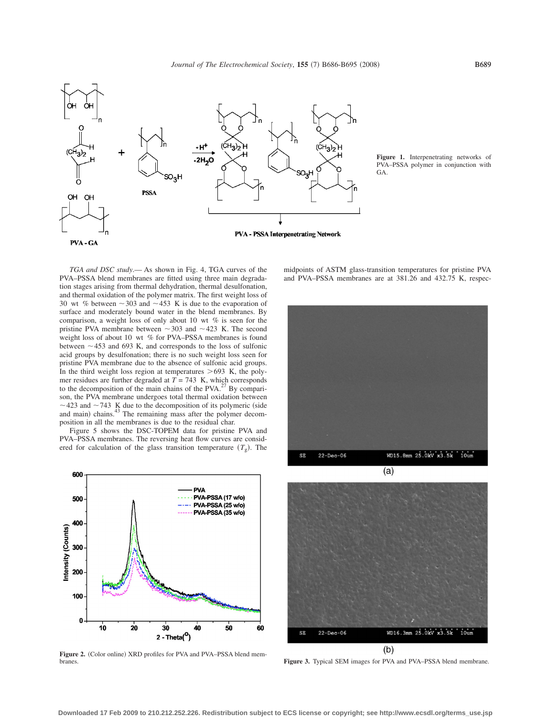

Journal of The Electrochemical Society, **155** (7) B686-B695 (2008)

**Figure 1.** Interpenetrating networks of PVA–PSSA polymer in conjunction with GA.

*TGA and DSC study*.— As shown in Fig. 4, TGA curves of the PVA–PSSA blend membranes are fitted using three main degradation stages arising from thermal dehydration, thermal desulfonation, and thermal oxidation of the polymer matrix. The first weight loss of 30 wt % between  $\sim$  303 and  $\sim$  453 K is due to the evaporation of surface and moderately bound water in the blend membranes. By comparison, a weight loss of only about 10 wt *%* is seen for the pristine PVA membrane between  $\sim$  303 and  $\sim$  423 K. The second weight loss of about 10 wt *%* for PVA–PSSA membranes is found between  $\sim$  453 and 693 K, and corresponds to the loss of sulfonic acid groups by desulfonation; there is no such weight loss seen for pristine PVA membrane due to the absence of sulfonic acid groups. In the third weight loss region at temperatures  $>693$  K, the polymer residues are further degraded at  $T = 743$  K, which corresponds to the decomposition of the main chains of the  $PVA.<sup>27</sup>$  By comparison, the PVA membrane undergoes total thermal oxidation between  $\sim$  423 and  $\sim$  743 K due to the decomposition of its polymeric (side and main) chains. $43$  The remaining mass after the polymer decomposition in all the membranes is due to the residual char.

Figure 5 shows the DSC-TOPEM data for pristine PVA and PVA–PSSA membranes. The reversing heat flow curves are considered for calculation of the glass transition temperature  $(T_g)$ . The



Figure 2. (Color online) XRD profiles for PVA and PVA–PSSA blend membranes.

WD15.8mm 25.0kV x3.5k 10um SF.  $22-Dac-06$ 

midpoints of ASTM glass-transition temperatures for pristine PVA and PVA–PSSA membranes are at 381.26 and 432.75 K, respec-



**Figure 3.** Typical SEM images for PVA and PVA–PSSA blend membrane.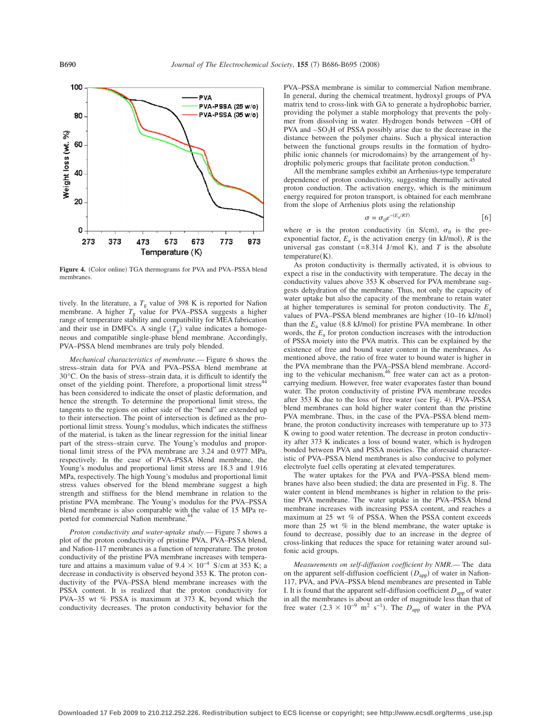

Figure 4. (Color online) TGA thermograms for PVA and PVA–PSSA blend membranes.

tively. In the literature, a  $T_g$  value of 398 K is reported for Nafion membrane. A higher  $T_g$  value for PVA–PSSA suggests a higher range of temperature stability and compatibility for MEA fabrication and their use in DMFCs. A single  $(T_g)$  value indicates a homogeneous and compatible single-phase blend membrane. Accordingly, PVA–PSSA blend membranes are truly poly blended.

*Mechanical characteristics of membrane*.— Figure 6 shows the stress–strain data for PVA and PVA–PSSA blend membrane at 30°C. On the basis of stress–strain data, it is difficult to identify the onset of the yielding point. Therefore, a proportional limit stress<sup>44</sup> has been considered to indicate the onset of plastic deformation, and hence the strength. To determine the proportional limit stress, the tangents to the regions on either side of the "bend" are extended up to their intersection. The point of intersection is defined as the proportional limit stress. Young's modulus, which indicates the stiffness of the material, is taken as the linear regression for the initial linear part of the stress–strain curve. The Young's modulus and proportional limit stress of the PVA membrane are 3.24 and 0.977 MPa, respectively. In the case of PVA–PSSA blend membrane, the Young's modulus and proportional limit stress are 18.3 and 1.916 MPa, respectively. The high Young's modulus and proportional limit stress values observed for the blend membrane suggest a high strength and stiffness for the blend membrane in relation to the pristine PVA membrane. The Young's modulus for the PVA–PSSA blend membrane is also comparable with the value of 15 MPa reported for commercial Nafion membrane.<sup>44</sup>

*Proton conductivity and water-uptake study*.— Figure 7 shows a plot of the proton conductivity of pristine PVA, PVA–PSSA blend, and Nafion-117 membranes as a function of temperature. The proton conductivity of the pristine PVA membrane increases with temperature and attains a maximum value of  $9.4 \times 10^{-4}$  S/cm at 353 K; a decrease in conductivity is observed beyond 353 K. The proton conductivity of the PVA–PSSA blend membrane increases with the PSSA content. It is realized that the proton conductivity for PVA–35 wt *%* PSSA is maximum at 373 K, beyond which the conductivity decreases. The proton conductivity behavior for the PVA–PSSA membrane is similar to commercial Nafion membrane. In general, during the chemical treatment, hydroxyl groups of PVA matrix tend to cross-link with GA to generate a hydrophobic barrier, providing the polymer a stable morphology that prevents the polymer from dissolving in water. Hydrogen bonds between –OH of  $PVA$  and  $-SO<sub>3</sub>H$  of PSSA possibly arise due to the decrease in the distance between the polymer chains. Such a physical interaction between the functional groups results in the formation of hydrophilic ionic channels (or microdomains) by the arrangement of hydrophilic polymeric groups that facilitate proton conduction.<sup>4</sup>

All the membrane samples exhibit an Arrhenius-type temperature dependence of proton conductivity, suggesting thermally activated proton conduction. The activation energy, which is the minimum energy required for proton transport, is obtained for each membrane from the slope of Arrhenius plots using the relationship

$$
\sigma = \sigma_0 e^{-(E_a/RT)} \tag{6}
$$

where  $\sigma$  is the proton conductivity (in S/cm),  $\sigma_0$  is the preexponential factor,  $E_a$  is the activation energy (in kJ/mol),  $R$  is the universal gas constant  $(=8.314 \text{ J/mol K})$ , and *T* is the absolute  $temperature(K)$ .

As proton conductivity is thermally activated, it is obvious to expect a rise in the conductivity with temperature. The decay in the conductivity values above 353 K observed for PVA membrane suggests dehydration of the membrane. Thus, not only the capacity of water uptake but also the capacity of the membrane to retain water at higher temperatures is seminal for proton conductivity. The *E*<sup>a</sup> values of PVA–PSSA blend membranes are higher (10–16 kJ/mol) than the  $E_a$  value (8.8 kJ/mol) for pristine PVA membrane. In other words, the  $E_a$  for proton conduction increases with the introduction of PSSA moiety into the PVA matrix. This can be explained by the existence of free and bound water content in the membranes. As mentioned above, the ratio of free water to bound water is higher in the PVA membrane than the PVA–PSSA blend membrane. According to the vehicular mechanism,<sup>46</sup> free water can act as a protoncarrying medium. However, free water evaporates faster than bound water. The proton conductivity of pristine PVA membrane recedes after 353 K due to the loss of free water (see Fig. 4). PVA–PSSA blend membranes can hold higher water content than the pristine PVA membrane. Thus, in the case of the PVA–PSSA blend membrane, the proton conductivity increases with temperature up to 373 K owing to good water retention. The decrease in proton conductivity after 373 K indicates a loss of bound water, which is hydrogen bonded between PVA and PSSA moieties. The aforesaid characteristic of PVA–PSSA blend membranes is also conducive to polymer electrolyte fuel cells operating at elevated temperatures.

The water uptakes for the PVA and PVA–PSSA blend membranes have also been studied; the data are presented in Fig. 8. The water content in blend membranes is higher in relation to the pristine PVA membrane. The water uptake in the PVA–PSSA blend membrane increases with increasing PSSA content, and reaches a maximum at 25 wt *%* of PSSA. When the PSSA content exceeds more than 25 wt *%* in the blend membrane, the water uptake is found to decrease, possibly due to an increase in the degree of cross-linking that reduces the space for retaining water around sulfonic acid groups.

*Measurements on self-diffusion coefficient by NMR*.— The data on the apparent self-diffusion coefficient ( $D_{app}$ ) of water in Nafion-117, PVA, and PVA–PSSA blend membranes are presented in Table I. It is found that the apparent self-diffusion coefficient  $D_{\text{app}}$  of water in all the membranes is about an order of magnitude less than that of free water  $(2.3 \times 10^{-9} \text{ m}^2 \text{ s}^{-1})$ . The  $D_{app}$  of water in the PVA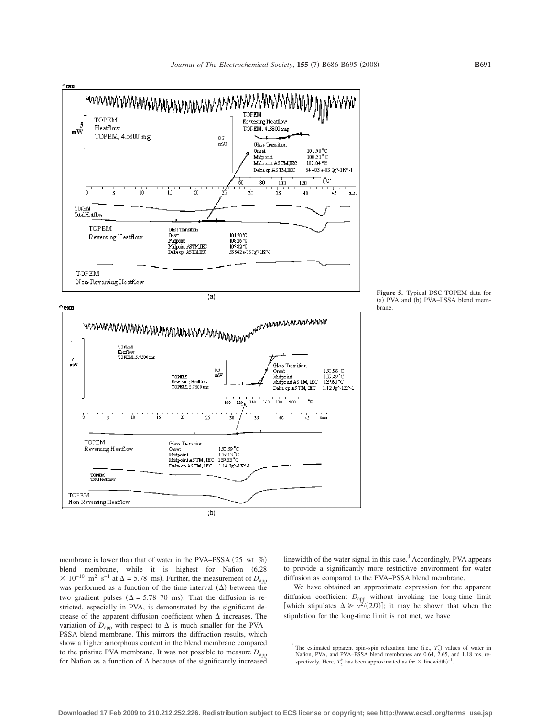

**Figure 5.** Typical DSC TOPEM data for (a) PVA and (b) PVA–PSSA blend membrane.



membrane is lower than that of water in the PVA–PSSA (25 wt %) blend membrane, while it is highest for Nafion (6.28)  $\times$  10<sup>-10</sup> m<sup>2</sup> s<sup>-1</sup> at  $\Delta$  = 5.78 ms). Further, the measurement of  $D_{app}$ was performed as a function of the time interval  $(\Delta)$  between the two gradient pulses ( $\Delta = 5.78-70$  ms). That the diffusion is restricted, especially in PVA, is demonstrated by the significant decrease of the apparent diffusion coefficient when  $\Delta$  increases. The variation of  $D_{\text{app}}$  with respect to  $\Delta$  is much smaller for the PVA– PSSA blend membrane. This mirrors the diffraction results, which show a higher amorphous content in the blend membrane compared to the pristine PVA membrane. It was not possible to measure *D*app for Nafion as a function of  $\Delta$  because of the significantly increased

linewidth of the water signal in this case.<sup>d</sup> Accordingly, PVA appears to provide a significantly more restrictive environment for water diffusion as compared to the PVA–PSSA blend membrane.

We have obtained an approximate expression for the apparent diffusion coefficient  $D_{\text{app}}$  without invoking the long-time limit [which stipulates  $\Delta \ge a^2/(2D)$ ]; it may be shown that when the stipulation for the long-time limit is not met, we have

B691

<sup>&</sup>lt;sup>d</sup> The estimated apparent spin–spin relaxation time (i.e.,  $T_2^*$ ) values of water in Nafion, PVA, and PVA–PSSA blend membranes are 0.64, 2.65, and 1.18 ms, respectively. Here,  $T_2^*$  has been approximated as  $(\pi \times \text{linewidth})^{-1}$ .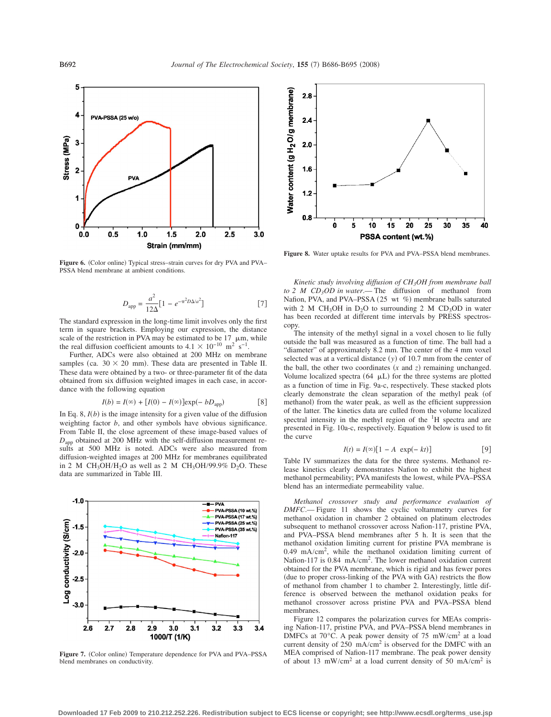

Figure 6. (Color online) Typical stress-strain curves for dry PVA and PVA– PSSA blend membrane at ambient conditions.

$$
D_{\rm app} = \frac{a^2}{12\Delta} [1 - e^{-\pi^2 D \Delta/a^2}]
$$
 [7]

The standard expression in the long-time limit involves only the first term in square brackets. Employing our expression, the distance scale of the restriction in PVA may be estimated to be  $17 \mu m$ , while the real diffusion coefficient amounts to  $4.1 \times 10^{-10}$  m<sup>2</sup> s<sup>-1</sup>.

Further, ADCs were also obtained at 200 MHz on membrane samples (ca.  $30 \times 20$  mm). These data are presented in Table II. These data were obtained by a two- or three-parameter fit of the data obtained from six diffusion weighted images in each case, in accordance with the following equation

$$
I(b) = I(\infty) + [I(0) - I(\infty)]\exp(-bD_{app})
$$
 [8]

In Eq. 8,  $I(b)$  is the image intensity for a given value of the diffusion weighting factor *b*, and other symbols have obvious significance. From Table II, the close agreement of these image-based values of *D*app obtained at 200 MHz with the self-diffusion measurement results at 500 MHz is noted. ADCs were also measured from diffusion-weighted images at 200 MHz for membranes equilibrated in 2 M CH<sub>3</sub>OH/H<sub>2</sub>O as well as 2 M CH<sub>3</sub>OH/99.9% D<sub>2</sub>O. These data are summarized in Table III.



Figure 7. (Color online) Temperature dependence for PVA and PVA–PSSA blend membranes on conductivity.



**Figure 8.** Water uptake results for PVA and PVA–PSSA blend membranes.

*Kinetic study involving diffusion of CH3OH from membrane ball to 2 M CD3OD in water*.— The diffusion of methanol from Nafion, PVA, and PVA–PSSA (25 wt %) membrane balls saturated with 2 M CH<sub>3</sub>OH in D<sub>2</sub>O to surrounding 2 M CD<sub>3</sub>OD in water has been recorded at different time intervals by PRESS spectroscopy.

The intensity of the methyl signal in a voxel chosen to lie fully outside the ball was measured as a function of time. The ball had a "diameter" of approximately 8.2 mm. The center of the 4 mm voxel selected was at a vertical distance  $(y)$  of 10.7 mm from the center of the ball, the other two coordinates  $(x \text{ and } z)$  remaining unchanged. Volume localized spectra  $(64 \mu L)$  for the three systems are plotted as a function of time in Fig. 9a-c, respectively. These stacked plots clearly demonstrate the clean separation of the methyl peak (of methanol) from the water peak, as well as the efficient suppression of the latter. The kinetics data are culled from the volume localized spectral intensity in the methyl region of the  ${}^{1}H$  spectra and are presented in Fig. 10a-c, respectively. Equation 9 below is used to fit the curve

$$
I(t) = I(\infty)[1 - A \exp(-kt)]
$$
 [9]

Table IV summarizes the data for the three systems. Methanol release kinetics clearly demonstrates Nafion to exhibit the highest methanol permeability; PVA manifests the lowest, while PVA–PSSA blend has an intermediate permeability value.

*Methanol crossover study and performance evaluation of DMFC*.— Figure 11 shows the cyclic voltammetry curves for methanol oxidation in chamber 2 obtained on platinum electrodes subsequent to methanol crossover across Nafion-117, pristine PVA, and PVA–PSSA blend membranes after 5 h. It is seen that the methanol oxidation limiting current for pristine PVA membrane is 0.49 mA/cm<sup>2</sup>, while the methanol oxidation limiting current of Nafion-117 is 0.84 mA/cm<sup>2</sup>. The lower methanol oxidation current obtained for the PVA membrane, which is rigid and has fewer pores (due to proper cross-linking of the PVA with GA) restricts the flow of methanol from chamber 1 to chamber 2. Interestingly, little difference is observed between the methanol oxidation peaks for methanol crossover across pristine PVA and PVA–PSSA blend membranes

Figure 12 compares the polarization curves for MEAs comprising Nafion-117, pristine PVA, and PVA–PSSA blend membranes in DMFCs at  $70^{\circ}$ C. A peak power density of 75 mW/cm<sup>2</sup> at a load current density of  $250 \text{ mA/cm}^2$  is observed for the DMFC with an MEA comprised of Nafion-117 membrane. The peak power density of about 13 mW/cm<sup>2</sup> at a load current density of 50 mA/cm<sup>2</sup> is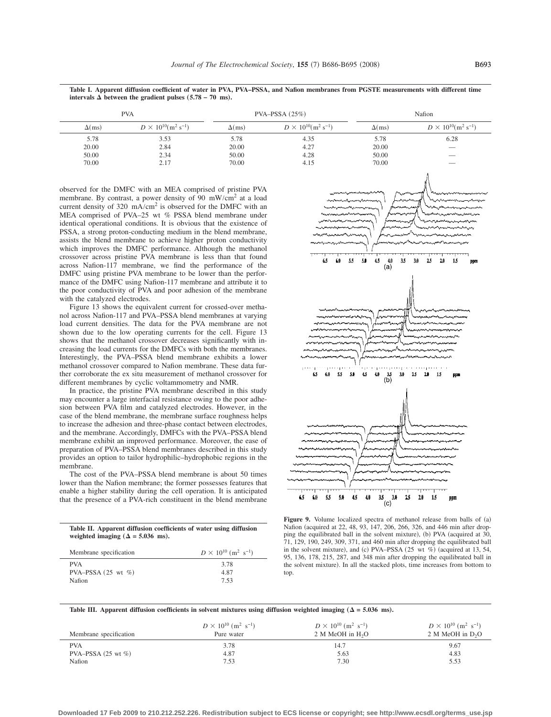|              | <b>PVA</b>                                           |              | $PVA-PSSA (25%)$                                     |              | Nafion                                               |  |  |
|--------------|------------------------------------------------------|--------------|------------------------------------------------------|--------------|------------------------------------------------------|--|--|
| $\Delta(ms)$ | $D \times 10^{10}$ (m <sup>2</sup> s <sup>-1</sup> ) | $\Delta(ms)$ | $D \times 10^{10}$ (m <sup>2</sup> s <sup>-1</sup> ) | $\Delta(ms)$ | $D \times 10^{10}$ (m <sup>2</sup> s <sup>-1</sup> ) |  |  |
| 5.78         | 3.53                                                 | 5.78         | 4.35                                                 | 5.78         | 6.28                                                 |  |  |
| 20.00        | 2.84                                                 | 20.00        | 4.27                                                 | 20.00        |                                                      |  |  |
| 50.00        | 2.34                                                 | 50.00        | 4.28                                                 | 50.00        |                                                      |  |  |
| 70.00        | 2.17                                                 | 70.00        | 4.15                                                 | 70.00        |                                                      |  |  |

**Table I. Apparent diffusion coefficient of water in PVA, PVA–PSSA, and Nafion membranes from PGSTE measurements with different time intervals**  $\Delta$  between the gradient pulses  $(5.78 - 70 \text{ ms})$ .

observed for the DMFC with an MEA comprised of pristine PVA membrane. By contrast, a power density of 90 mW/cm<sup>2</sup> at a load current density of 320 mA/cm<sup>2</sup> is observed for the DMFC with an MEA comprised of PVA–25 wt *%* PSSA blend membrane under identical operational conditions. It is obvious that the existence of PSSA, a strong proton-conducting medium in the blend membrane, assists the blend membrane to achieve higher proton conductivity which improves the DMFC performance. Although the methanol crossover across pristine PVA membrane is less than that found across Nafion-117 membrane, we find the performance of the DMFC using pristine PVA membrane to be lower than the performance of the DMFC using Nafion-117 membrane and attribute it to the poor conductivity of PVA and poor adhesion of the membrane with the catalyzed electrodes.

Figure 13 shows the equivalent current for crossed-over methanol across Nafion-117 and PVA–PSSA blend membranes at varying load current densities. The data for the PVA membrane are not shown due to the low operating currents for the cell. Figure 13 shows that the methanol crossover decreases significantly with increasing the load currents for the DMFCs with both the membranes. Interestingly, the PVA–PSSA blend membrane exhibits a lower methanol crossover compared to Nafion membrane. These data further corroborate the ex situ measurement of methanol crossover for different membranes by cyclic voltammometry and NMR.

In practice, the pristine PVA membrane described in this study may encounter a large interfacial resistance owing to the poor adhesion between PVA film and catalyzed electrodes. However, in the case of the blend membrane, the membrane surface roughness helps to increase the adhesion and three-phase contact between electrodes, and the membrane. Accordingly, DMFCs with the PVA–PSSA blend membrane exhibit an improved performance. Moreover, the ease of preparation of PVA–PSSA blend membranes described in this study provides an option to tailor hydrophilic–hydrophobic regions in the membrane.

The cost of the PVA–PSSA blend membrane is about 50 times lower than the Nafion membrane; the former possesses features that enable a higher stability during the cell operation. It is anticipated that the presence of a PVA-rich constituent in the blend membrane

| Table II. Apparent diffusion coefficients of water using diffusion |  |  |
|--------------------------------------------------------------------|--|--|
| weighted imaging ( $\Delta = 5.036$ ms).                           |  |  |

| Membrane specification         | $D \times 10^{10}$ (m <sup>2</sup> s <sup>-1</sup> ) |
|--------------------------------|------------------------------------------------------|
| <b>PVA</b>                     | 3.78                                                 |
| PVA-PSSA $(25 \text{ wt } \%)$ | 4.87                                                 |
| Nafion                         | 7.53                                                 |



Figure 9. Volume localized spectra of methanol release from balls of (a) Nafion (acquired at 22, 48, 93, 147, 206, 266, 326, and 446 min after dropping the equilibrated ball in the solvent mixture), (b) PVA (acquired at 30, 71, 129, 190, 249, 309, 371, and 460 min after dropping the equilibrated ball in the solvent mixture), and (c) PVA–PSSA (25 wt %) (acquired at 13, 54, 95, 136, 178, 215, 287, and 348 min after dropping the equilibrated ball in the solvent mixture). In all the stacked plots, time increases from bottom to top.

|  |  |  | Table III. Apparent diffusion coefficients in solvent mixtures using diffusion weighted imaging ( $\Delta = 5.036$ ms). |  |  |  |  |  |  |  |  |
|--|--|--|-------------------------------------------------------------------------------------------------------------------------|--|--|--|--|--|--|--|--|
|--|--|--|-------------------------------------------------------------------------------------------------------------------------|--|--|--|--|--|--|--|--|

| Membrane specification         | $D \times 10^{10}$ (m <sup>2</sup> s <sup>-1</sup> )<br>Pure water | $D \times 10^{10}$ (m <sup>2</sup> s <sup>-1</sup> )<br>$2 M$ MeOH in H <sub>2</sub> O | $D \times 10^{10}$ (m <sup>2</sup> s <sup>-1</sup> )<br>2 M MeOH in $D_2O$ |
|--------------------------------|--------------------------------------------------------------------|----------------------------------------------------------------------------------------|----------------------------------------------------------------------------|
| <b>PVA</b>                     | 3.78                                                               | 14.7                                                                                   | 9.67                                                                       |
| PVA-PSSA $(25 \text{ wt } \%)$ | 4.87                                                               | 5.63                                                                                   | 4.83                                                                       |
| Nafion                         | 7.53                                                               | 7.30                                                                                   | 5.53                                                                       |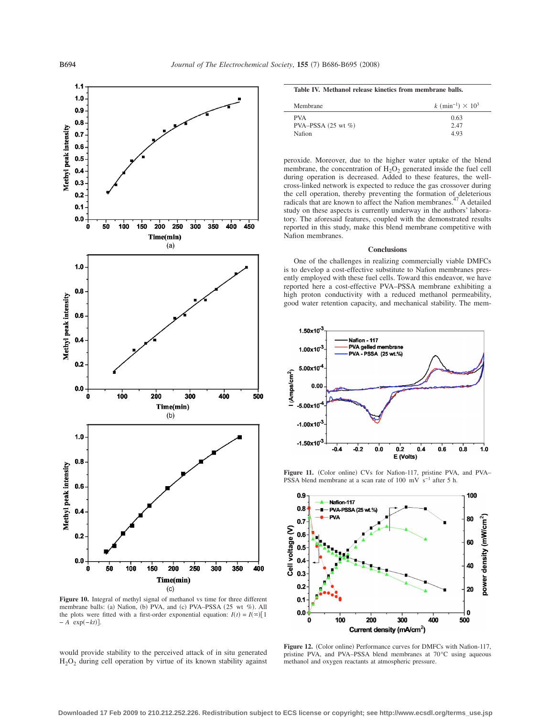

**Figure 10.** Integral of methyl signal of methanol vs time for three different membrane balls: (a) Nafion, (b) PVA, and (c) PVA–PSSA (25 wt %). All the plots were fitted with a first-order exponential equation:  $I(t) = I(\infty)[1]$  $-A \exp(-kt)$ ].

would provide stability to the perceived attack of in situ generated H2O2 during cell operation by virtue of its known stability against

**Table IV. Methanol release kinetics from membrane balls.**  $M$ embrane k (min<sup>-1</sup>)  $\times$  10<sup>3</sup>  $PVA$  0.63 PVA–PSSA (25 wt %) 2.47<br>4.93 Nafion

peroxide. Moreover, due to the higher water uptake of the blend membrane, the concentration of  $H_2O_2$  generated inside the fuel cell during operation is decreased. Added to these features, the wellcross-linked network is expected to reduce the gas crossover during the cell operation, thereby preventing the formation of deleterious radicals that are known to affect the Nafion membranes.<sup>47</sup> A detailed study on these aspects is currently underway in the authors' laboratory. The aforesaid features, coupled with the demonstrated results reported in this study, make this blend membrane competitive with Nafion membranes.

### **Conclusions**

One of the challenges in realizing commercially viable DMFCs is to develop a cost-effective substitute to Nafion membranes presently employed with these fuel cells. Toward this endeavor, we have reported here a cost-effective PVA–PSSA membrane exhibiting a high proton conductivity with a reduced methanol permeability, good water retention capacity, and mechanical stability. The mem-



Figure 11. (Color online) CVs for Nafion-117, pristine PVA, and PVA– PSSA blend membrane at a scan rate of 100 mV s<sup>−1</sup> after 5 h.



Figure 12. (Color online) Performance curves for DMFCs with Nafion-117, pristine PVA, and PVA–PSSA blend membranes at 70°C using aqueous methanol and oxygen reactants at atmospheric pressure.